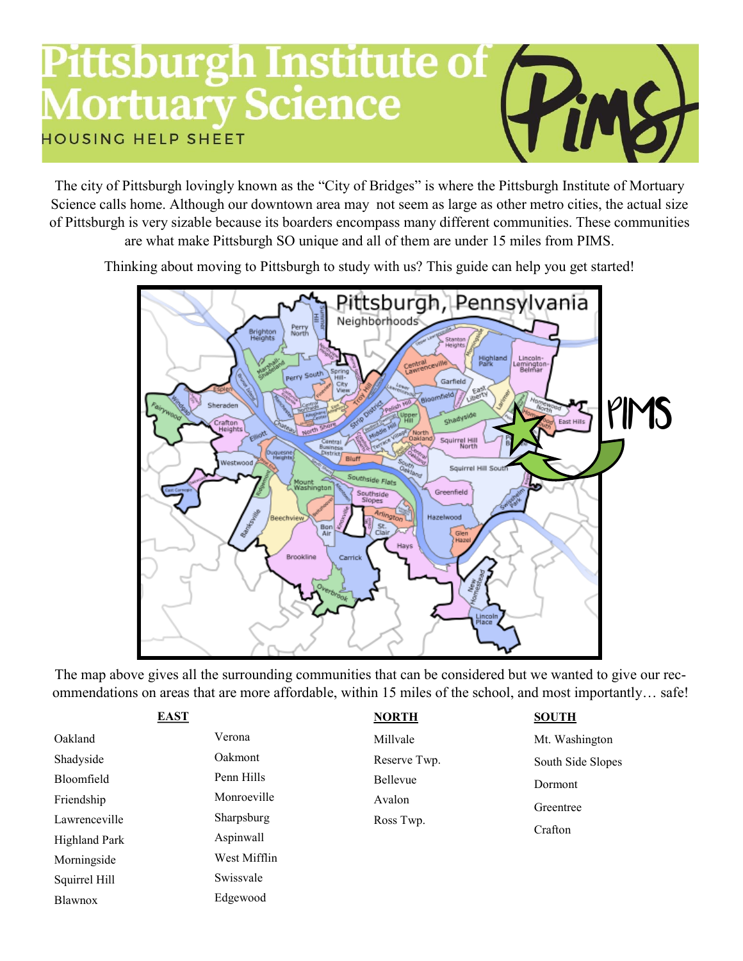## **Pittsburgh Institute of , Mortuary Science HOUSING HELP SHEET**

The city of Pittsburgh lovingly known as the "City of Bridges" is where the Pittsburgh Institute of Mortuary Science calls home. Although our downtown area may not seem as large as other metro cities, the actual size of Pittsburgh is very sizable because its boarders encompass many different communities. These communities are what make Pittsburgh SO unique and all of them are under 15 miles from PIMS.

Thinking about moving to Pittsburgh to study with us? This guide can help you get started!



The map above gives all the surrounding communities that can be considered but we wanted to give our recommendations on areas that are more affordable, within 15 miles of the school, and most importantly… safe!

| <b>EAST</b>   |              | <b>NORTH</b> | <b>SOUTH</b>      |  |
|---------------|--------------|--------------|-------------------|--|
| Oakland       | Verona       | Millvale     | Mt. Washington    |  |
| Shadyside     | Oakmont      | Reserve Twp. | South Side Slopes |  |
| Bloomfield    | Penn Hills   | Bellevue     | Dormont           |  |
| Friendship    | Monroeville  | Avalon       | Greentree         |  |
| Lawrenceville | Sharpsburg   | Ross Twp.    |                   |  |
| Highland Park | Aspinwall    |              | Crafton           |  |
| Morningside   | West Mifflin |              |                   |  |
| Squirrel Hill | Swissvale    |              |                   |  |

Edgewood

Blawnox